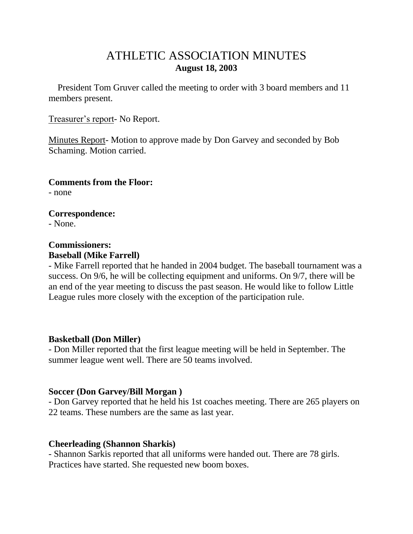# ATHLETIC ASSOCIATION MINUTES **August 18, 2003**

 President Tom Gruver called the meeting to order with 3 board members and 11 members present.

Treasurer's report- No Report.

Minutes Report- Motion to approve made by Don Garvey and seconded by Bob Schaming. Motion carried.

**Comments from the Floor:** - none

**Correspondence:** - None.

### **Commissioners: Baseball (Mike Farrell)**

- Mike Farrell reported that he handed in 2004 budget. The baseball tournament was a success. On 9/6, he will be collecting equipment and uniforms. On 9/7, there will be an end of the year meeting to discuss the past season. He would like to follow Little League rules more closely with the exception of the participation rule.

## **Basketball (Don Miller)**

- Don Miller reported that the first league meeting will be held in September. The summer league went well. There are 50 teams involved.

## **Soccer (Don Garvey/Bill Morgan )**

- Don Garvey reported that he held his 1st coaches meeting. There are 265 players on 22 teams. These numbers are the same as last year.

## **Cheerleading (Shannon Sharkis)**

- Shannon Sarkis reported that all uniforms were handed out. There are 78 girls. Practices have started. She requested new boom boxes.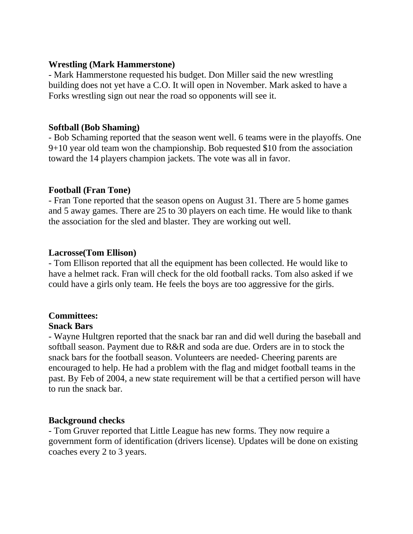### **Wrestling (Mark Hammerstone)**

- Mark Hammerstone requested his budget. Don Miller said the new wrestling building does not yet have a C.O. It will open in November. Mark asked to have a Forks wrestling sign out near the road so opponents will see it.

### **Softball (Bob Shaming)**

- Bob Schaming reported that the season went well. 6 teams were in the playoffs. One 9+10 year old team won the championship. Bob requested \$10 from the association toward the 14 players champion jackets. The vote was all in favor.

### **Football (Fran Tone)**

- Fran Tone reported that the season opens on August 31. There are 5 home games and 5 away games. There are 25 to 30 players on each time. He would like to thank the association for the sled and blaster. They are working out well.

### **Lacrosse(Tom Ellison)**

- Tom Ellison reported that all the equipment has been collected. He would like to have a helmet rack. Fran will check for the old football racks. Tom also asked if we could have a girls only team. He feels the boys are too aggressive for the girls.

## **Committees:**

## **Snack Bars**

- Wayne Hultgren reported that the snack bar ran and did well during the baseball and softball season. Payment due to R&R and soda are due. Orders are in to stock the snack bars for the football season. Volunteers are needed- Cheering parents are encouraged to help. He had a problem with the flag and midget football teams in the past. By Feb of 2004, a new state requirement will be that a certified person will have to run the snack bar.

## **Background checks**

- Tom Gruver reported that Little League has new forms. They now require a government form of identification (drivers license). Updates will be done on existing coaches every 2 to 3 years.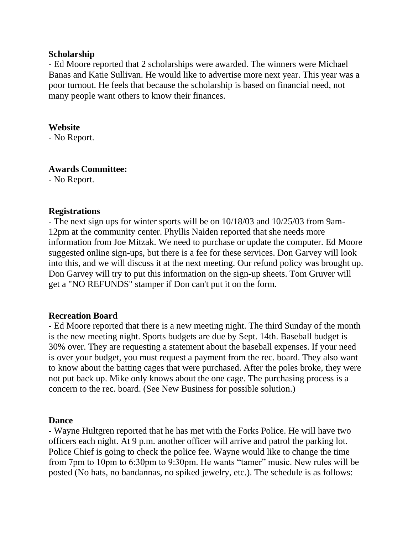#### **Scholarship**

- Ed Moore reported that 2 scholarships were awarded. The winners were Michael Banas and Katie Sullivan. He would like to advertise more next year. This year was a poor turnout. He feels that because the scholarship is based on financial need, not many people want others to know their finances.

#### **Website**

- No Report.

#### **Awards Committee:**

- No Report.

### **Registrations**

- The next sign ups for winter sports will be on 10/18/03 and 10/25/03 from 9am-12pm at the community center. Phyllis Naiden reported that she needs more information from Joe Mitzak. We need to purchase or update the computer. Ed Moore suggested online sign-ups, but there is a fee for these services. Don Garvey will look into this, and we will discuss it at the next meeting. Our refund policy was brought up. Don Garvey will try to put this information on the sign-up sheets. Tom Gruver will get a "NO REFUNDS" stamper if Don can't put it on the form.

### **Recreation Board**

- Ed Moore reported that there is a new meeting night. The third Sunday of the month is the new meeting night. Sports budgets are due by Sept. 14th. Baseball budget is 30% over. They are requesting a statement about the baseball expenses. If your need is over your budget, you must request a payment from the rec. board. They also want to know about the batting cages that were purchased. After the poles broke, they were not put back up. Mike only knows about the one cage. The purchasing process is a concern to the rec. board. (See New Business for possible solution.)

### **Dance**

- Wayne Hultgren reported that he has met with the Forks Police. He will have two officers each night. At 9 p.m. another officer will arrive and patrol the parking lot. Police Chief is going to check the police fee. Wayne would like to change the time from 7pm to 10pm to 6:30pm to 9:30pm. He wants "tamer" music. New rules will be posted (No hats, no bandannas, no spiked jewelry, etc.). The schedule is as follows: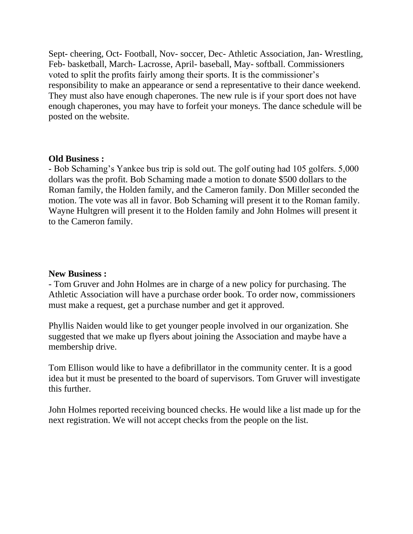Sept- cheering, Oct- Football, Nov- soccer, Dec- Athletic Association, Jan- Wrestling, Feb- basketball, March- Lacrosse, April- baseball, May- softball. Commissioners voted to split the profits fairly among their sports. It is the commissioner's responsibility to make an appearance or send a representative to their dance weekend. They must also have enough chaperones. The new rule is if your sport does not have enough chaperones, you may have to forfeit your moneys. The dance schedule will be posted on the website.

#### **Old Business :**

- Bob Schaming's Yankee bus trip is sold out. The golf outing had 105 golfers. 5,000 dollars was the profit. Bob Schaming made a motion to donate \$500 dollars to the Roman family, the Holden family, and the Cameron family. Don Miller seconded the motion. The vote was all in favor. Bob Schaming will present it to the Roman family. Wayne Hultgren will present it to the Holden family and John Holmes will present it to the Cameron family.

#### **New Business :**

- Tom Gruver and John Holmes are in charge of a new policy for purchasing. The Athletic Association will have a purchase order book. To order now, commissioners must make a request, get a purchase number and get it approved.

Phyllis Naiden would like to get younger people involved in our organization. She suggested that we make up flyers about joining the Association and maybe have a membership drive.

Tom Ellison would like to have a defibrillator in the community center. It is a good idea but it must be presented to the board of supervisors. Tom Gruver will investigate this further.

John Holmes reported receiving bounced checks. He would like a list made up for the next registration. We will not accept checks from the people on the list.